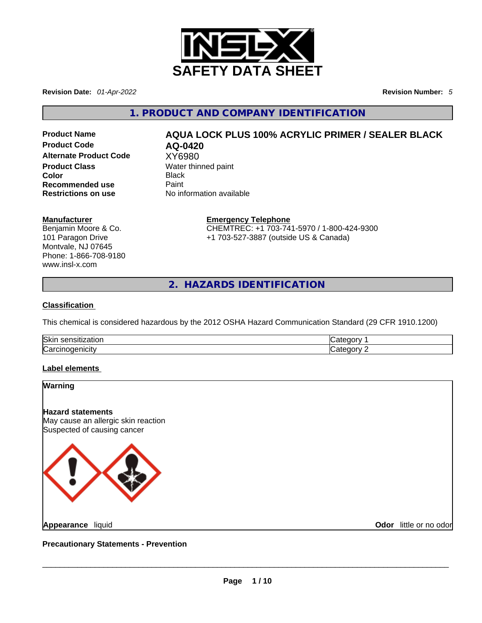

**Revision Date:** *01-Apr-2022* **Revision Number:** *5*

**1. PRODUCT AND COMPANY IDENTIFICATION** 

**Alternate Product Code** XY6980 **Product Class Water thinned paint Color** Black **Recommended use Paint Restrictions on use** No information available

# **Product Name**  $\overline{AQUA}$  **LOCK PLUS 100% ACRYLIC PRIMER / SEALER BLACK**<br>**Product Code**  $\overline{AQ}$ **Product Code AQ-0420**

# **Manufacturer**

Benjamin Moore & Co. 101 Paragon Drive Montvale, NJ 07645 Phone: 1-866-708-9180 www.insl-x.com

**Emergency Telephone** CHEMTREC: +1 703-741-5970 / 1-800-424-9300 +1 703-527-3887 (outside US & Canada)

**2. HAZARDS IDENTIFICATION** 

# **Classification**

This chemical is considered hazardous by the 2012 OSHA Hazard Communication Standard (29 CFR 1910.1200)

| Skir<br>----<br>$\sim$ $\sim$<br>ser<br>auur<br>והו |                              |
|-----------------------------------------------------|------------------------------|
| ∽<br><b>Carcinoge</b><br>ำenicity                   | $\sim$ $\sim$ $\sim$<br>78 M |

# **Label elements**

# **Warning**

**Hazard statements** May cause an allergic skin reaction Suspected of causing cancer



**Odor** little or no odor

**Precautionary Statements - Prevention**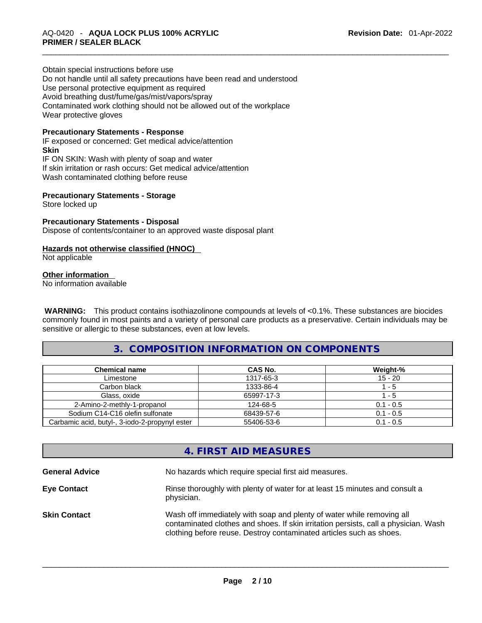Obtain special instructions before use Do not handle until all safety precautions have been read and understood Use personal protective equipment as required Avoid breathing dust/fume/gas/mist/vapors/spray Contaminated work clothing should not be allowed out of the workplace Wear protective gloves

# **Precautionary Statements - Response**

IF exposed or concerned: Get medical advice/attention **Skin** IF ON SKIN: Wash with plenty of soap and water If skin irritation or rash occurs: Get medical advice/attention Wash contaminated clothing before reuse

# **Precautionary Statements - Storage**

Store locked up

# **Precautionary Statements - Disposal**

Dispose of contents/container to an approved waste disposal plant

# **Hazards not otherwise classified (HNOC)**

Not applicable

# **Other information**

No information available

 **WARNING:** This product contains isothiazolinone compounds at levels of <0.1%. These substances are biocides commonly found in most paints and a variety of personal care products as a preservative. Certain individuals may be sensitive or allergic to these substances, even at low levels.

# **3. COMPOSITION INFORMATION ON COMPONENTS**

| <b>Chemical name</b>                           | CAS No.    | Weight-%    |
|------------------------------------------------|------------|-------------|
| Limestone                                      | 1317-65-3  | $15 - 20$   |
| Carbon black                                   | 1333-86-4  | 1 - 5       |
| Glass, oxide                                   | 65997-17-3 | l - 5       |
| 2-Amino-2-methly-1-propanol                    | 124-68-5   | $0.1 - 0.5$ |
| Sodium C14-C16 olefin sulfonate                | 68439-57-6 | $0.1 - 0.5$ |
| Carbamic acid, butyl-, 3-iodo-2-propynyl ester | 55406-53-6 | $0.1 - 0.5$ |

# **4. FIRST AID MEASURES**

| <b>General Advice</b> | No hazards which require special first aid measures.                                                                                                                                                                                |
|-----------------------|-------------------------------------------------------------------------------------------------------------------------------------------------------------------------------------------------------------------------------------|
| <b>Eye Contact</b>    | Rinse thoroughly with plenty of water for at least 15 minutes and consult a<br>physician.                                                                                                                                           |
| <b>Skin Contact</b>   | Wash off immediately with soap and plenty of water while removing all<br>contaminated clothes and shoes. If skin irritation persists, call a physician. Wash<br>clothing before reuse. Destroy contaminated articles such as shoes. |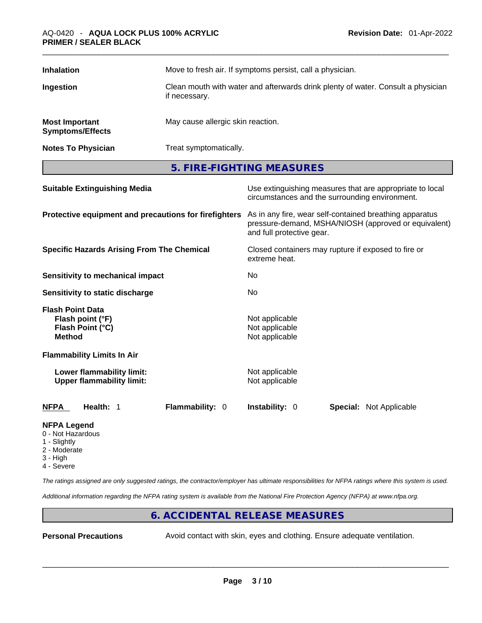| <b>Inhalation</b>                                | Move to fresh air. If symptoms persist, call a physician.                                         |
|--------------------------------------------------|---------------------------------------------------------------------------------------------------|
| Ingestion                                        | Clean mouth with water and afterwards drink plenty of water. Consult a physician<br>if necessary. |
| <b>Most Important</b><br><b>Symptoms/Effects</b> | May cause allergic skin reaction.                                                                 |
| <b>Notes To Physician</b>                        | Treat symptomatically.                                                                            |

**5. FIRE-FIGHTING MEASURES** 

| <b>Suitable Extinguishing Media</b>                                              | Use extinguishing measures that are appropriate to local<br>circumstances and the surrounding environment.                                   |  |  |
|----------------------------------------------------------------------------------|----------------------------------------------------------------------------------------------------------------------------------------------|--|--|
| Protective equipment and precautions for firefighters                            | As in any fire, wear self-contained breathing apparatus<br>pressure-demand, MSHA/NIOSH (approved or equivalent)<br>and full protective gear. |  |  |
| <b>Specific Hazards Arising From The Chemical</b>                                | Closed containers may rupture if exposed to fire or<br>extreme heat.                                                                         |  |  |
| Sensitivity to mechanical impact                                                 | No.                                                                                                                                          |  |  |
| Sensitivity to static discharge                                                  | No                                                                                                                                           |  |  |
| <b>Flash Point Data</b><br>Flash point (°F)<br>Flash Point (°C)<br><b>Method</b> | Not applicable<br>Not applicable<br>Not applicable                                                                                           |  |  |
| <b>Flammability Limits In Air</b>                                                |                                                                                                                                              |  |  |
| Lower flammability limit:<br><b>Upper flammability limit:</b>                    | Not applicable<br>Not applicable                                                                                                             |  |  |
| Health: 1<br><b>Flammability: 0</b><br><b>NFPA</b>                               | <b>Instability: 0</b><br><b>Special: Not Applicable</b>                                                                                      |  |  |

# **NFPA Legend**

- 0 Not Hazardous
- 1 Slightly
- 2 Moderate
- 3 High 4 - Severe

*The ratings assigned are only suggested ratings, the contractor/employer has ultimate responsibilities for NFPA ratings where this system is used.* 

*Additional information regarding the NFPA rating system is available from the National Fire Protection Agency (NFPA) at www.nfpa.org.* 

# **6. ACCIDENTAL RELEASE MEASURES**

**Personal Precautions** Avoid contact with skin, eyes and clothing. Ensure adequate ventilation.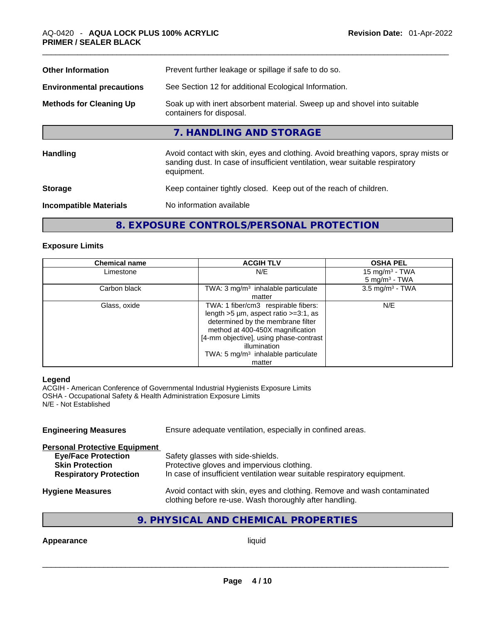| <b>Other Information</b>         | Prevent further leakage or spillage if safe to do so.                                                                                                                            |
|----------------------------------|----------------------------------------------------------------------------------------------------------------------------------------------------------------------------------|
| <b>Environmental precautions</b> | See Section 12 for additional Ecological Information.                                                                                                                            |
| <b>Methods for Cleaning Up</b>   | Soak up with inert absorbent material. Sweep up and shovel into suitable<br>containers for disposal.                                                                             |
|                                  | 7. HANDLING AND STORAGE                                                                                                                                                          |
| <b>Handling</b>                  | Avoid contact with skin, eyes and clothing. Avoid breathing vapors, spray mists or<br>sanding dust. In case of insufficient ventilation, wear suitable respiratory<br>equipment. |
| <b>Storage</b>                   | Keep container tightly closed. Keep out of the reach of children.                                                                                                                |
| <b>Incompatible Materials</b>    | No information available                                                                                                                                                         |
|                                  |                                                                                                                                                                                  |

# **8. EXPOSURE CONTROLS/PERSONAL PROTECTION**

# **Exposure Limits**

| <b>Chemical name</b> | <b>ACGIH TLV</b>                                                                                                                                                                                                                                                               | <b>OSHA PEL</b>                                           |
|----------------------|--------------------------------------------------------------------------------------------------------------------------------------------------------------------------------------------------------------------------------------------------------------------------------|-----------------------------------------------------------|
| Limestone            | N/E                                                                                                                                                                                                                                                                            | 15 mg/m <sup>3</sup> - TWA<br>$5$ mg/m <sup>3</sup> - TWA |
| Carbon black         | TWA: $3 \text{ mg/m}^3$ inhalable particulate<br>matter                                                                                                                                                                                                                        | $3.5 \text{ mg/m}^3$ - TWA                                |
| Glass, oxide         | TWA: 1 fiber/cm3 respirable fibers:<br>length $>5$ µm, aspect ratio $>=3:1$ , as<br>determined by the membrane filter<br>method at 400-450X magnification<br>[4-mm objective], using phase-contrast<br>illumination<br>TWA: $5 \text{ mg/m}^3$ inhalable particulate<br>matter | N/E                                                       |

# **Legend**

ACGIH - American Conference of Governmental Industrial Hygienists Exposure Limits OSHA - Occupational Safety & Health Administration Exposure Limits N/E - Not Established

| Ensure adequate ventilation, especially in confined areas.                                                                          |  |  |
|-------------------------------------------------------------------------------------------------------------------------------------|--|--|
|                                                                                                                                     |  |  |
| Safety glasses with side-shields.                                                                                                   |  |  |
| Protective gloves and impervious clothing.                                                                                          |  |  |
| In case of insufficient ventilation wear suitable respiratory equipment.                                                            |  |  |
| Avoid contact with skin, eyes and clothing. Remove and wash contaminated<br>clothing before re-use. Wash thoroughly after handling. |  |  |
|                                                                                                                                     |  |  |

# **9. PHYSICAL AND CHEMICAL PROPERTIES**

# **Appearance** liquid \_\_\_\_\_\_\_\_\_\_\_\_\_\_\_\_\_\_\_\_\_\_\_\_\_\_\_\_\_\_\_\_\_\_\_\_\_\_\_\_\_\_\_\_\_\_\_\_\_\_\_\_\_\_\_\_\_\_\_\_\_\_\_\_\_\_\_\_\_\_\_\_\_\_\_\_\_\_\_\_\_\_\_\_\_\_\_\_\_\_\_\_\_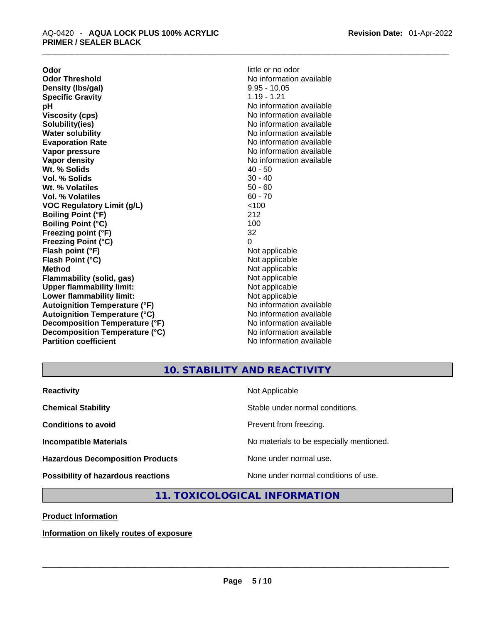**Odor little or no odor Odor Threshold**<br> **Density (Ibs/gal)**<br> **Density (Ibs/gal)**<br>
2.95 - 10.05 **Density** (Ibs/gal) **Specific Gravity 1.19 - 1.21 pH bH** *No* information available **Viscosity (cps) No information available No information available Solubility(ies)** No information available in the solution of the solution of the solution available in the solution of the solution of the solution of the solution of the solution of the solution of the solution of the so **Water solubility Water Solubility**<br> **Evaporation Rate** Moinformation available<br>
No information available **Vapor pressure**  No information available **No information** available **Vapor density**<br> **We Solids** (*We Solids* (*We Solids* (*We Solids* (*We Solids* (*Networkshipses* (*All 20 - 50*) **Wt. % Solids** 40 - 50 **Vol. % Solids Wt. % Volatiles** 50 - 60 **Vol. % Volatiles VOC Regulatory Limit (g/L)** <100 **Boiling Point (°F)** 212 **Boiling Point**  $(^{\circ}C)$  100 **Freezing point (°F)** 32 **Freezing Point (°C)** 0 **Flash point (°F)** Not applicable **Flash Point (°C)** Not applicable **Method** Not applicable<br> **Flammability (solid. gas)** Not applicable Not applicable **Flammability** (solid, gas) **Upper flammability limit:**<br> **Lower flammability limit:**<br>
Not applicable<br>
Not applicable **Lower flammability limit: Autoignition Temperature (°F)** No information available **Autoignition Temperature (°C)** No information available **Decomposition Temperature (°F)** No information available **Decomposition Temperature (°C)** No information available **Partition coefficient** No information available

**Evaporation Rate** No information available

# **10. STABILITY AND REACTIVITY**

| <b>Reactivity</b>                         | Not Applicable                           |
|-------------------------------------------|------------------------------------------|
| <b>Chemical Stability</b>                 | Stable under normal conditions.          |
| <b>Conditions to avoid</b>                | Prevent from freezing.                   |
| <b>Incompatible Materials</b>             | No materials to be especially mentioned. |
| <b>Hazardous Decomposition Products</b>   | None under normal use.                   |
| <b>Possibility of hazardous reactions</b> | None under normal conditions of use.     |

# **11. TOXICOLOGICAL INFORMATION**

**Product Information**

# **Information on likely routes of exposure**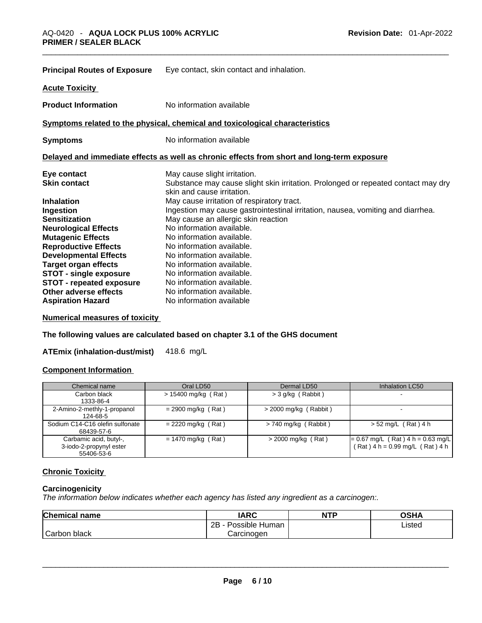| <b>Principal Routes of Exposure</b> | Eye contact, skin contact and inhalation.                                                                       |
|-------------------------------------|-----------------------------------------------------------------------------------------------------------------|
| <b>Acute Toxicity</b>               |                                                                                                                 |
| <b>Product Information</b>          | No information available                                                                                        |
|                                     | Symptoms related to the physical, chemical and toxicological characteristics                                    |
| <b>Symptoms</b>                     | No information available                                                                                        |
|                                     | Delayed and immediate effects as well as chronic effects from short and long-term exposure                      |
| Eye contact                         | May cause slight irritation.                                                                                    |
| <b>Skin contact</b>                 | Substance may cause slight skin irritation. Prolonged or repeated contact may dry<br>skin and cause irritation. |
| <b>Inhalation</b>                   | May cause irritation of respiratory tract.                                                                      |
| Ingestion                           | Ingestion may cause gastrointestinal irritation, nausea, vomiting and diarrhea.                                 |
| <b>Sensitization</b>                | May cause an allergic skin reaction                                                                             |
| <b>Neurological Effects</b>         | No information available.                                                                                       |
| <b>Mutagenic Effects</b>            | No information available.                                                                                       |
| <b>Reproductive Effects</b>         | No information available.                                                                                       |
| <b>Developmental Effects</b>        | No information available.                                                                                       |
| <b>Target organ effects</b>         | No information available.                                                                                       |
| <b>STOT - single exposure</b>       | No information available.                                                                                       |
| <b>STOT - repeated exposure</b>     | No information available.                                                                                       |
| Other adverse effects               | No information available.                                                                                       |
| <b>Aspiration Hazard</b>            | No information available                                                                                        |

# **Numerical measures of toxicity**

**The following values are calculated based on chapter 3.1 of the GHS document**

**ATEmix (inhalation-dust/mist)** 418.6 mg/L

# **Component Information**

| Chemical name                                                   | Oral LD50             | Dermal LD50             | Inhalation LC50                                                          |
|-----------------------------------------------------------------|-----------------------|-------------------------|--------------------------------------------------------------------------|
| Carbon black<br>1333-86-4                                       | $> 15400$ mg/kg (Rat) | $>$ 3 g/kg (Rabbit)     |                                                                          |
| 2-Amino-2-methly-1-propanol<br>124-68-5                         | $= 2900$ mg/kg (Rat)  | $>$ 2000 mg/kg (Rabbit) | $\sim$                                                                   |
| Sodium C14-C16 olefin sulfonate<br>68439-57-6                   | $= 2220$ mg/kg (Rat)  | $> 740$ mg/kg (Rabbit)  | $> 52$ mg/L (Rat) 4 h                                                    |
| Carbamic acid, butyl-,<br>3-iodo-2-propynyl ester<br>55406-53-6 | $= 1470$ mg/kg (Rat)  | $>$ 2000 mg/kg (Rat)    | $= 0.67$ mg/L (Rat) 4 h = 0.63 mg/L<br>$(Rat)$ 4 h = 0.99 mg/L (Rat) 4 h |

# **Chronic Toxicity**

# **Carcinogenicity**

*The information below indicates whether each agency has listed any ingredient as a carcinogen:.* 

| Chemical name | <b>IARC</b>         | <b>NTP</b> | <b>OSHA</b> |
|---------------|---------------------|------------|-------------|
|               | 2B - Possible Human |            | Listed      |
| Carbon black  | Carcinogen          |            |             |
|               |                     |            |             |
|               |                     |            |             |
|               |                     |            |             |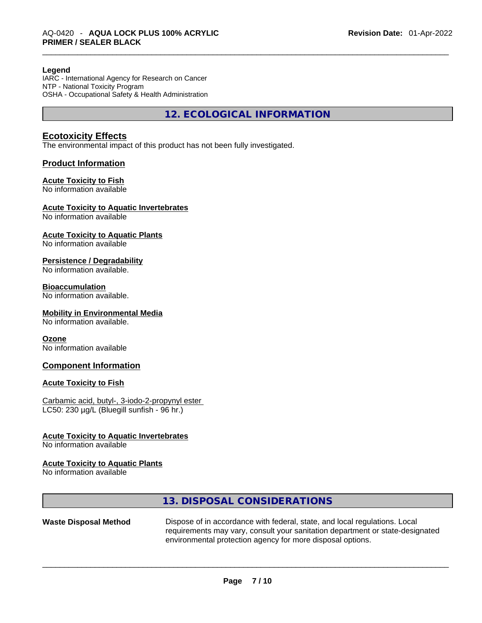#### **Legend**

IARC - International Agency for Research on Cancer NTP - National Toxicity Program OSHA - Occupational Safety & Health Administration

**12. ECOLOGICAL INFORMATION** 

# **Ecotoxicity Effects**

The environmental impact of this product has not been fully investigated.

# **Product Information**

# **Acute Toxicity to Fish**

No information available

# **Acute Toxicity to Aquatic Invertebrates**

No information available

# **Acute Toxicity to Aquatic Plants**

No information available

# **Persistence / Degradability**

No information available.

#### **Bioaccumulation**

No information available.

#### **Mobility in Environmental Media**

No information available.

#### **Ozone**

No information available

# **Component Information**

# **Acute Toxicity to Fish**

Carbamic acid, butyl-, 3-iodo-2-propynyl ester LC50: 230 µg/L (Bluegill sunfish - 96 hr.)

# **Acute Toxicity to Aquatic Invertebrates**

No information available

# **Acute Toxicity to Aquatic Plants**

No information available

# **13. DISPOSAL CONSIDERATIONS**

**Waste Disposal Method** Dispose of in accordance with federal, state, and local regulations. Local requirements may vary, consult your sanitation department or state-designated environmental protection agency for more disposal options.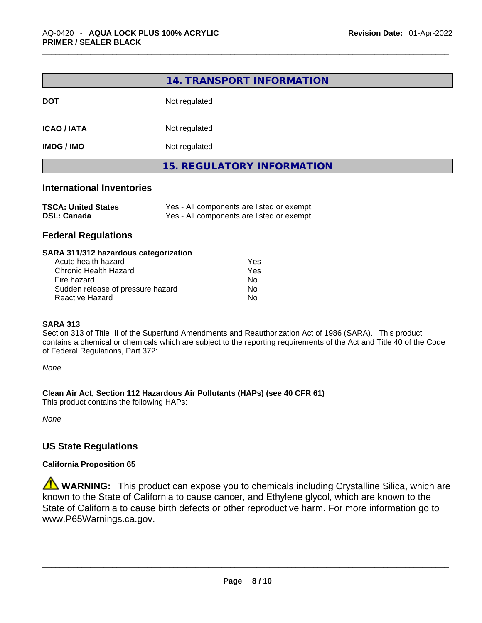|                                                  | 14. TRANSPORT INFORMATION                                                                |  |  |
|--------------------------------------------------|------------------------------------------------------------------------------------------|--|--|
| <b>DOT</b>                                       | Not regulated                                                                            |  |  |
| <b>ICAO / IATA</b>                               | Not regulated                                                                            |  |  |
| <b>IMDG / IMO</b>                                | Not regulated                                                                            |  |  |
|                                                  | <b>15. REGULATORY INFORMATION</b>                                                        |  |  |
| <b>International Inventories</b>                 |                                                                                          |  |  |
| <b>TSCA: United States</b><br><b>DSL: Canada</b> | Yes - All components are listed or exempt.<br>Yes - All components are listed or exempt. |  |  |

# **Federal Regulations**

| SARA 311/312 hazardous categorization |     |  |
|---------------------------------------|-----|--|
| Acute health hazard                   | Yes |  |
| Chronic Health Hazard                 | Yes |  |
| Fire hazard                           | No  |  |
| Sudden release of pressure hazard     | No  |  |
| <b>Reactive Hazard</b>                | No  |  |
|                                       |     |  |

# **SARA 313**

Section 313 of Title III of the Superfund Amendments and Reauthorization Act of 1986 (SARA). This product contains a chemical or chemicals which are subject to the reporting requirements of the Act and Title 40 of the Code of Federal Regulations, Part 372:

*None*

**Clean Air Act,Section 112 Hazardous Air Pollutants (HAPs) (see 40 CFR 61)**

This product contains the following HAPs:

*None*

# **US State Regulations**

# **California Proposition 65**

**WARNING:** This product can expose you to chemicals including Crystalline Silica, which are known to the State of California to cause cancer, and Ethylene glycol, which are known to the State of California to cause birth defects or other reproductive harm. For more information go to www.P65Warnings.ca.gov.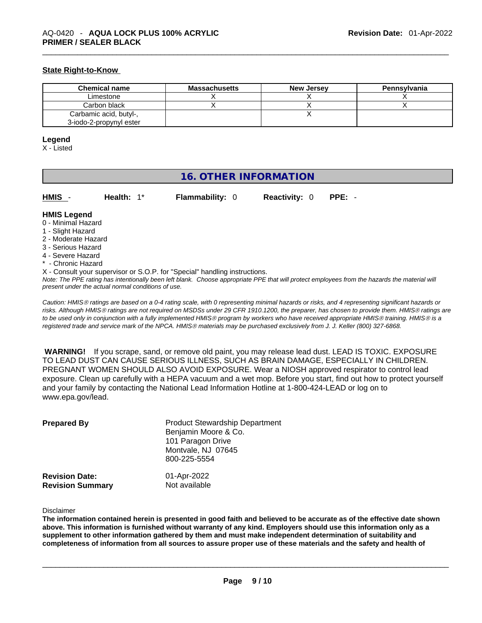# **State Right-to-Know**

| <b>Chemical name</b>    | Massachusetts | <b>New Jersey</b> | Pennsylvania |
|-------------------------|---------------|-------------------|--------------|
| Limestone               |               |                   |              |
| Carbon black            |               |                   |              |
| Carbamic acid, butyl-,  |               |                   |              |
| 3-iodo-2-propynyl ester |               |                   |              |

#### **Legend**

X - Listed

# **16. OTHER INFORMATION**

| HMIS - | Health: $1^*$ | <b>Flammability: 0</b> | <b>Reactivity: 0 PPE: -</b> |  |
|--------|---------------|------------------------|-----------------------------|--|
|        |               |                        |                             |  |

# **HMIS Legend**

- 0 Minimal Hazard
- 1 Slight Hazard
- 2 Moderate Hazard
- 3 Serious Hazard
- 4 Severe Hazard
- \* Chronic Hazard
- X Consult your supervisor or S.O.P. for "Special" handling instructions.

Note: The PPE rating has intentionally been left blank. Choose appropriate PPE that will protect employees from the hazards the material will *present under the actual normal conditions of use.* 

*Caution: HMISÒ ratings are based on a 0-4 rating scale, with 0 representing minimal hazards or risks, and 4 representing significant hazards or risks. Although HMISÒ ratings are not required on MSDSs under 29 CFR 1910.1200, the preparer, has chosen to provide them. HMISÒ ratings are to be used only in conjunction with a fully implemented HMISÒ program by workers who have received appropriate HMISÒ training. HMISÒ is a registered trade and service mark of the NPCA. HMISÒ materials may be purchased exclusively from J. J. Keller (800) 327-6868.* 

 **WARNING!** If you scrape, sand, or remove old paint, you may release lead dust. LEAD IS TOXIC. EXPOSURE TO LEAD DUST CAN CAUSE SERIOUS ILLNESS, SUCH AS BRAIN DAMAGE, ESPECIALLY IN CHILDREN. PREGNANT WOMEN SHOULD ALSO AVOID EXPOSURE.Wear a NIOSH approved respirator to control lead exposure. Clean up carefully with a HEPA vacuum and a wet mop. Before you start, find out how to protect yourself and your family by contacting the National Lead Information Hotline at 1-800-424-LEAD or log on to www.epa.gov/lead.

| <b>Prepared By</b>                               | <b>Product Stewardship Department</b><br>Benjamin Moore & Co.<br>101 Paragon Drive<br>Montvale, NJ 07645<br>800-225-5554 |  |
|--------------------------------------------------|--------------------------------------------------------------------------------------------------------------------------|--|
| <b>Revision Date:</b><br><b>Revision Summary</b> | 01-Apr-2022<br>Not available                                                                                             |  |

Disclaimer

The information contained herein is presented in good faith and believed to be accurate as of the effective date shown above. This information is furnished without warranty of any kind. Employers should use this information only as a **supplement to other information gathered by them and must make independent determination of suitability and** completeness of information from all sources to assure proper use of these materials and the safety and health of